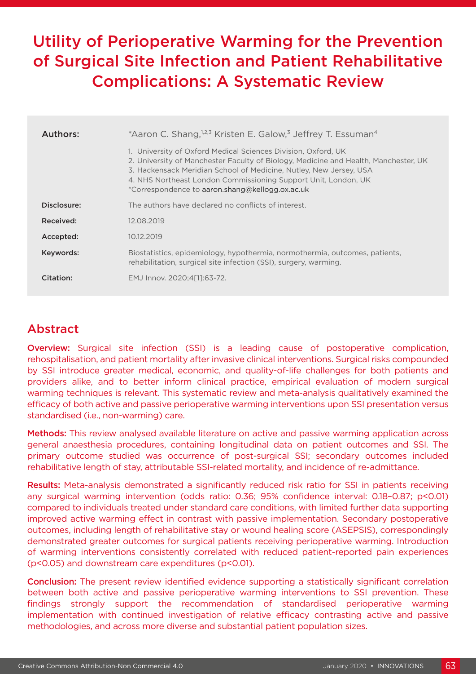# Utility of Perioperative Warming for the Prevention of Surgical Site Infection and Patient Rehabilitative Complications: A Systematic Review

| Authors:    | *Aaron C. Shang, <sup>1,2,3</sup> Kristen E. Galow, <sup>3</sup> Jeffrey T. Essuman <sup>4</sup>                                                                                                                                                                                                                                                |  |
|-------------|-------------------------------------------------------------------------------------------------------------------------------------------------------------------------------------------------------------------------------------------------------------------------------------------------------------------------------------------------|--|
|             | 1. University of Oxford Medical Sciences Division, Oxford, UK<br>2. University of Manchester Faculty of Biology, Medicine and Health, Manchester, UK<br>3. Hackensack Meridian School of Medicine, Nutley, New Jersey, USA<br>4. NHS Northeast London Commissioning Support Unit, London, UK<br>*Correspondence to aaron.shang@kellogg.ox.ac.uk |  |
| Disclosure: | The authors have declared no conflicts of interest.                                                                                                                                                                                                                                                                                             |  |
| Received:   | 12.08.2019                                                                                                                                                                                                                                                                                                                                      |  |
| Accepted:   | 10.12.2019                                                                                                                                                                                                                                                                                                                                      |  |
| Keywords:   | Biostatistics, epidemiology, hypothermia, normothermia, outcomes, patients,<br>rehabilitation, surgical site infection (SSI), surgery, warming.                                                                                                                                                                                                 |  |
| Citation:   | EMJ Innov. 2020;4[1]:63-72.                                                                                                                                                                                                                                                                                                                     |  |

## Abstract

Overview: Surgical site infection (SSI) is a leading cause of postoperative complication, rehospitalisation, and patient mortality after invasive clinical interventions. Surgical risks compounded by SSI introduce greater medical, economic, and quality-of-life challenges for both patients and providers alike, and to better inform clinical practice, empirical evaluation of modern surgical warming techniques is relevant. This systematic review and meta-analysis qualitatively examined the efficacy of both active and passive perioperative warming interventions upon SSI presentation versus standardised (i.e., non-warming) care.

Methods: This review analysed available literature on active and passive warming application across general anaesthesia procedures, containing longitudinal data on patient outcomes and SSI. The primary outcome studied was occurrence of post-surgical SSI; secondary outcomes included rehabilitative length of stay, attributable SSI-related mortality, and incidence of re-admittance.

Results: Meta-analysis demonstrated a significantly reduced risk ratio for SSI in patients receiving any surgical warming intervention (odds ratio: 0.36; 95% confidence interval: 0.18–0.87; p<0.01) compared to individuals treated under standard care conditions, with limited further data supporting improved active warming effect in contrast with passive implementation. Secondary postoperative outcomes, including length of rehabilitative stay or wound healing score (ASEPSIS), correspondingly demonstrated greater outcomes for surgical patients receiving perioperative warming. Introduction of warming interventions consistently correlated with reduced patient-reported pain experiences (p<0.05) and downstream care expenditures (p<0.01).

Conclusion: The present review identified evidence supporting a statistically significant correlation between both active and passive perioperative warming interventions to SSI prevention. These findings strongly support the recommendation of standardised perioperative warming implementation with continued investigation of relative efficacy contrasting active and passive methodologies, and across more diverse and substantial patient population sizes.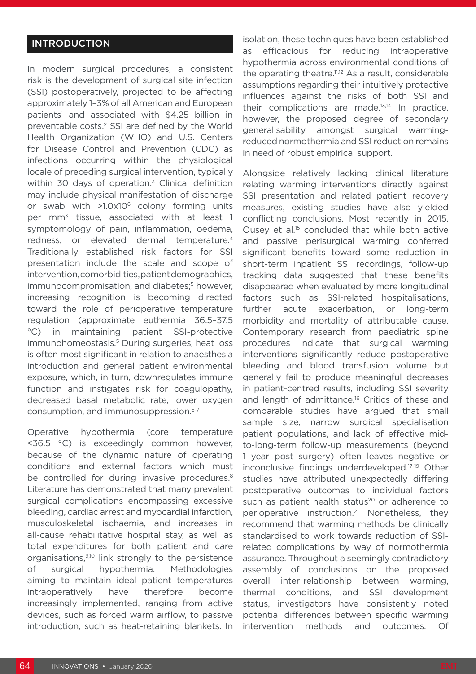### INTRODUCTION

In modern surgical procedures, a consistent risk is the development of surgical site infection (SSI) postoperatively, projected to be affecting approximately 1–3% of all American and European patients<sup>1</sup> and associated with \$4.25 billion in preventable costs.<sup>2</sup> SSI are defined by the World Health Organization (WHO) and U.S. Centers for Disease Control and Prevention (CDC) as infections occurring within the physiological locale of preceding surgical intervention, typically within 30 days of operation. $3$  Clinical definition may include physical manifestation of discharge or swab with  $>1.0x10^6$  colony forming units per mm3 tissue, associated with at least 1 symptomology of pain, inflammation, oedema, redness, or elevated dermal temperature.<sup>4</sup> Traditionally established risk factors for SSI presentation include the scale and scope of intervention, comorbidities, patient demographics, immunocompromisation, and diabetes;<sup>5</sup> however, increasing recognition is becoming directed toward the role of perioperative temperature regulation (approximate euthermia 36.5–37.5 °C) in maintaining patient SSI-protective immunohomeostasis.<sup>5</sup> During surgeries, heat loss is often most significant in relation to anaesthesia introduction and general patient environmental exposure, which, in turn, downregulates immune function and instigates risk for coagulopathy, decreased basal metabolic rate, lower oxygen consumption, and immunosuppression.5-7

Operative hypothermia (core temperature <36.5 °C) is exceedingly common however, because of the dynamic nature of operating conditions and external factors which must be controlled for during invasive procedures.<sup>8</sup> Literature has demonstrated that many prevalent surgical complications encompassing excessive bleeding, cardiac arrest and myocardial infarction, musculoskeletal ischaemia, and increases in all-cause rehabilitative hospital stay, as well as total expenditures for both patient and care organisations,9,10 link strongly to the persistence of surgical hypothermia. Methodologies aiming to maintain ideal patient temperatures intraoperatively have therefore become increasingly implemented, ranging from active devices, such as forced warm airflow, to passive introduction, such as heat-retaining blankets. In

isolation, these techniques have been established as efficacious for reducing intraoperative hypothermia across environmental conditions of the operating theatre.<sup>11,12</sup> As a result, considerable assumptions regarding their intuitively protective influences against the risks of both SSI and their complications are made.13,14 In practice, however, the proposed degree of secondary generalisability amongst surgical warmingreduced normothermia and SSI reduction remains in need of robust empirical support.

Alongside relatively lacking clinical literature relating warming interventions directly against SSI presentation and related patient recovery measures, existing studies have also yielded conflicting conclusions. Most recently in 2015, Ousey et al.<sup>15</sup> concluded that while both active and passive perisurgical warming conferred significant benefits toward some reduction in short-term inpatient SSI recordings, follow-up tracking data suggested that these benefits disappeared when evaluated by more longitudinal factors such as SSI-related hospitalisations, further acute exacerbation, or long-term morbidity and mortality of attributable cause. Contemporary research from paediatric spine procedures indicate that surgical warming interventions significantly reduce postoperative bleeding and blood transfusion volume but generally fail to produce meaningful decreases in patient-centred results, including SSI severity and length of admittance.<sup>16</sup> Critics of these and comparable studies have argued that small sample size, narrow surgical specialisation patient populations, and lack of effective midto-long-term follow-up measurements (beyond 1 year post surgery) often leaves negative or inconclusive findings underdeveloped.17-19 Other studies have attributed unexpectedly differing postoperative outcomes to individual factors such as patient health status<sup>20</sup> or adherence to perioperative instruction.21 Nonetheless, they recommend that warming methods be clinically standardised to work towards reduction of SSIrelated complications by way of normothermia assurance. Throughout a seemingly contradictory assembly of conclusions on the proposed overall inter-relationship between warming, thermal conditions, and SSI development status, investigators have consistently noted potential differences between specific warming intervention methods and outcomes. Of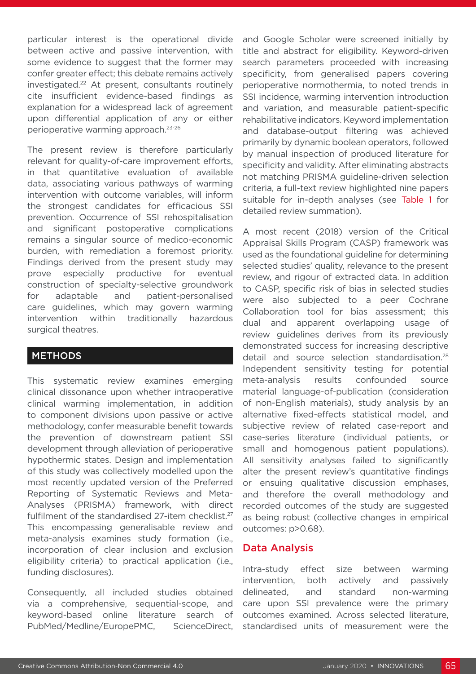particular interest is the operational divide between active and passive intervention, with some evidence to suggest that the former may confer greater effect; this debate remains actively investigated.22 At present, consultants routinely cite insufficient evidence-based findings as explanation for a widespread lack of agreement upon differential application of any or either perioperative warming approach.23-26

The present review is therefore particularly relevant for quality-of-care improvement efforts, in that quantitative evaluation of available data, associating various pathways of warming intervention with outcome variables, will inform the strongest candidates for efficacious SSI prevention. Occurrence of SSI rehospitalisation and significant postoperative complications remains a singular source of medico-economic burden, with remediation a foremost priority. Findings derived from the present study may prove especially productive for eventual construction of specialty-selective groundwork for adaptable and patient-personalised care guidelines, which may govern warming intervention within traditionally hazardous surgical theatres.

### METHODS

This systematic review examines emerging clinical dissonance upon whether intraoperative clinical warming implementation, in addition to component divisions upon passive or active methodology, confer measurable benefit towards the prevention of downstream patient SSI development through alleviation of perioperative hypothermic states. Design and implementation of this study was collectively modelled upon the most recently updated version of the Preferred Reporting of Systematic Reviews and Meta-Analyses (PRISMA) framework, with direct fulfilment of the standardised 27-item checklist.<sup>27</sup> This encompassing generalisable review and meta-analysis examines study formation (i.e., incorporation of clear inclusion and exclusion eligibility criteria) to practical application (i.e., funding disclosures).

Consequently, all included studies obtained via a comprehensive, sequential-scope, and keyword-based online literature search of PubMed/Medline/EuropePMC, ScienceDirect, and Google Scholar were screened initially by title and abstract for eligibility. Keyword-driven search parameters proceeded with increasing specificity, from generalised papers covering perioperative normothermia, to noted trends in SSI incidence, warming intervention introduction and variation, and measurable patient-specific rehabilitative indicators. Keyword implementation and database-output filtering was achieved primarily by dynamic boolean operators, followed by manual inspection of produced literature for specificity and validity. After eliminating abstracts not matching PRISMA guideline-driven selection criteria, a full-text review highlighted nine papers suitable for in-depth analyses (see Table 1 for detailed review summation).

A most recent (2018) version of the Critical Appraisal Skills Program (CASP) framework was used as the foundational guideline for determining selected studies' quality, relevance to the present review, and rigour of extracted data. In addition to CASP, specific risk of bias in selected studies were also subjected to a peer Cochrane Collaboration tool for bias assessment; this dual and apparent overlapping usage of review guidelines derives from its previously demonstrated success for increasing descriptive detail and source selection standardisation.<sup>28</sup> Independent sensitivity testing for potential meta-analysis results confounded source material language-of-publication (consideration of non-English materials), study analysis by an alternative fixed-effects statistical model, and subjective review of related case-report and case-series literature (individual patients, or small and homogenous patient populations). All sensitivity analyses failed to significantly alter the present review's quantitative findings or ensuing qualitative discussion emphases, and therefore the overall methodology and recorded outcomes of the study are suggested as being robust (collective changes in empirical outcomes: p>0.68).

### Data Analysis

Intra-study effect size between warming intervention, both actively and passively delineated, and standard non-warming care upon SSI prevalence were the primary outcomes examined. Across selected literature, standardised units of measurement were the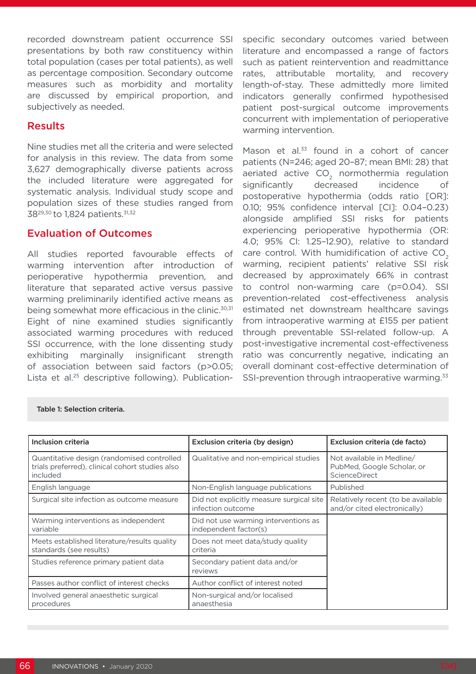recorded downstream patient occurrence SSI presentations by both raw constituency within total population (cases per total patients), as well as percentage composition. Secondary outcome measures such as morbidity and mortality are discussed by empirical proportion, and subjectively as needed.

### Results

Nine studies met all the criteria and were selected for analysis in this review. The data from some 3,627 demographically diverse patients across the included literature were aggregated for systematic analysis. Individual study scope and population sizes of these studies ranged from 38<sup>29,30</sup> to 1,824 patients.<sup>31,32</sup>

### Evaluation of Outcomes

All studies reported favourable effects of warming intervention after introduction of perioperative hypothermia prevention, and literature that separated active versus passive warming preliminarily identified active means as being somewhat more efficacious in the clinic.<sup>30,31</sup> Eight of nine examined studies significantly associated warming procedures with reduced SSI occurrence, with the lone dissenting study exhibiting marginally insignificant strength of association between said factors (p>0.05; Lista et al.25 descriptive following). Publicationspecific secondary outcomes varied between literature and encompassed a range of factors such as patient reintervention and readmittance rates, attributable mortality, and recovery length-of-stay. These admittedly more limited indicators generally confirmed hypothesised patient post-surgical outcome improvements concurrent with implementation of perioperative warming intervention.

Mason et al. $33$  found in a cohort of cancer patients (N=246; aged 20–87; mean BMI: 28) that aeriated active CO<sub>2</sub> normothermia regulation significantly decreased incidence of postoperative hypothermia (odds ratio [OR]: 0.10; 95% confidence interval [CI]: 0.04–0.23) alongside amplified SSI risks for patients experiencing perioperative hypothermia (OR: 4.0; 95% CI: 1.25–12.90), relative to standard care control. With humidification of active CO<sub>2</sub> warming, recipient patients' relative SSI risk decreased by approximately 66% in contrast to control non-warming care (p=0.04). SSI prevention-related cost-effectiveness analysis estimated net downstream healthcare savings from intraoperative warming at £155 per patient through preventable SSI-related follow-up. A post-investigative incremental cost-effectiveness ratio was concurrently negative, indicating an overall dominant cost-effective determination of SSI-prevention through intraoperative warming.<sup>33</sup>

| Inclusion criteria                                                                                        | Exclusion criteria (by design)                                | Exclusion criteria (de facto)                                            |
|-----------------------------------------------------------------------------------------------------------|---------------------------------------------------------------|--------------------------------------------------------------------------|
| Quantitative design (randomised controlled<br>trials preferred), clinical cohort studies also<br>included | Qualitative and non-empirical studies                         | Not available in Medline/<br>PubMed, Google Scholar, or<br>ScienceDirect |
| English language                                                                                          | Non-English language publications                             | Published                                                                |
| Surgical site infection as outcome measure                                                                | Did not explicitly measure surgical site<br>infection outcome | Relatively recent (to be available<br>and/or cited electronically)       |
| Warming interventions as independent<br>variable                                                          | Did not use warming interventions as<br>independent factor(s) |                                                                          |
| Meets established literature/results quality<br>standards (see results)                                   | Does not meet data/study quality<br>criteria                  |                                                                          |
| Studies reference primary patient data                                                                    | Secondary patient data and/or<br>reviews                      |                                                                          |
| Passes author conflict of interest checks                                                                 | Author conflict of interest noted                             |                                                                          |
| Involved general anaesthetic surgical<br>procedures                                                       | Non-surgical and/or localised<br>anaesthesia                  |                                                                          |

#### Table 1: Selection criteria.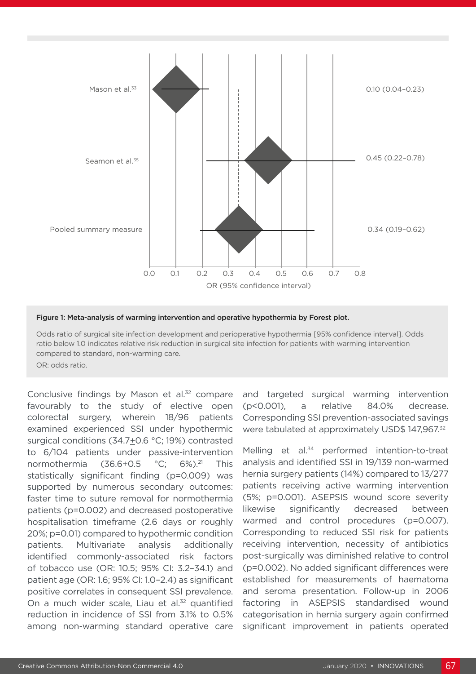

#### Figure 1: Meta-analysis of warming intervention and operative hypothermia by Forest plot.

Odds ratio of surgical site infection development and perioperative hypothermia [95% confidence interval]. Odds ratio below 1.0 indicates relative risk reduction in surgical site infection for patients with warming intervention compared to standard, non-warming care.

OR: odds ratio.

Conclusive findings by Mason et al.<sup>32</sup> compare favourably to the study of elective open colorectal surgery, wherein 18/96 patients examined experienced SSI under hypothermic surgical conditions (34.7+0.6 °C; 19%) contrasted to 6/104 patients under passive-intervention normothermia (36.6+0.5 °C; 6%).<sup>21</sup> This statistically significant finding (p=0.009) was supported by numerous secondary outcomes: faster time to suture removal for normothermia patients (p=0.002) and decreased postoperative hospitalisation timeframe (2.6 days or roughly 20%; p=0.01) compared to hypothermic condition patients. Multivariate analysis additionally identified commonly-associated risk factors of tobacco use (OR: 10.5; 95% CI: 3.2–34.1) and patient age (OR: 1.6; 95% CI: 1.0–2.4) as significant positive correlates in consequent SSI prevalence. On a much wider scale, Liau et al.<sup>32</sup> quantified reduction in incidence of SSI from 3.1% to 0.5% among non-warming standard operative care

and targeted surgical warming intervention (p<0.001), a relative 84.0% decrease. Corresponding SSI prevention-associated savings were tabulated at approximately USD\$ 147,967.<sup>32</sup>

Melling et al.<sup>34</sup> performed intention-to-treat analysis and identified SSI in 19/139 non-warmed hernia surgery patients (14%) compared to 13/277 patients receiving active warming intervention (5%; p=0.001). ASEPSIS wound score severity likewise significantly decreased between warmed and control procedures (p=0.007). Corresponding to reduced SSI risk for patients receiving intervention, necessity of antibiotics post-surgically was diminished relative to control (p=0.002). No added significant differences were established for measurements of haematoma and seroma presentation. Follow-up in 2006 factoring in ASEPSIS standardised wound categorisation in hernia surgery again confirmed significant improvement in patients operated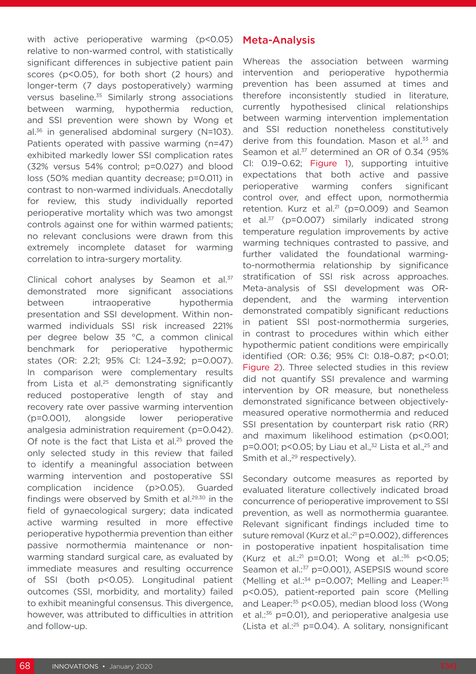with active perioperative warming (p<0.05) relative to non-warmed control, with statistically significant differences in subjective patient pain scores (p<0.05), for both short (2 hours) and longer-term (7 days postoperatively) warming versus baseline.<sup>35</sup> Similarly strong associations between warming, hypothermia reduction, and SSI prevention were shown by Wong et al.36 in generalised abdominal surgery (N=103). Patients operated with passive warming (n=47) exhibited markedly lower SSI complication rates (32% versus 54% control; p=0.027) and blood loss (50% median quantity decrease; p=0.011) in contrast to non-warmed individuals. Anecdotally for review, this study individually reported perioperative mortality which was two amongst controls against one for within warmed patients; no relevant conclusions were drawn from this extremely incomplete dataset for warming correlation to intra-surgery mortality.

Clinical cohort analyses by Seamon et al.<sup>37</sup> demonstrated more significant associations between intraoperative hypothermia presentation and SSI development. Within nonwarmed individuals SSI risk increased 221% per degree below 35 °C, a common clinical benchmark for perioperative hypothermic states (OR: 2.21; 95% CI: 1.24–3.92; p=0.007). In comparison were complementary results from Lista et al.<sup>25</sup> demonstrating significantly reduced postoperative length of stay and recovery rate over passive warming intervention (p=0.001), alongside lower perioperative analgesia administration requirement (p=0.042). Of note is the fact that Lista et al.<sup>25</sup> proved the only selected study in this review that failed to identify a meaningful association between warming intervention and postoperative SSI complication incidence (p>0.05). Guarded findings were observed by Smith et al.<sup>29,30</sup> in the field of gynaecological surgery; data indicated active warming resulted in more effective perioperative hypothermia prevention than either passive normothermia maintenance or nonwarming standard surgical care, as evaluated by immediate measures and resulting occurrence of SSI (both p<0.05). Longitudinal patient outcomes (SSI, morbidity, and mortality) failed to exhibit meaningful consensus. This divergence, however, was attributed to difficulties in attrition and follow-up.

### Meta-Analysis

Whereas the association between warming intervention and perioperative hypothermia prevention has been assumed at times and therefore inconsistently studied in literature, currently hypothesised clinical relationships between warming intervention implementation and SSI reduction nonetheless constitutively derive from this foundation. Mason et al.<sup>33</sup> and Seamon et al.<sup>37</sup> determined an OR of 0.34 (95% CI: 0.19–0.62; Figure 1), supporting intuitive expectations that both active and passive perioperative warming confers significant control over, and effect upon, normothermia retention. Kurz et al.<sup>21</sup> ( $p=0.009$ ) and Seamon et al.<sup>37</sup> (p=0.007) similarly indicated strong temperature regulation improvements by active warming techniques contrasted to passive, and further validated the foundational warmingto-normothermia relationship by significance stratification of SSI risk across approaches. Meta-analysis of SSI development was ORdependent, and the warming intervention demonstrated compatibly significant reductions in patient SSI post-normothermia surgeries, in contrast to procedures within which either hypothermic patient conditions were empirically identified (OR: 0.36; 95% CI: 0.18–0.87; p<0.01; Figure 2). Three selected studies in this review did not quantify SSI prevalence and warming intervention by OR measure, but nonetheless demonstrated significance between objectivelymeasured operative normothermia and reduced SSI presentation by counterpart risk ratio (RR) and maximum likelihood estimation (p<0.001; p=0.001; p<0.05; by Liau et al., $32$  Lista et al., $25$  and Smith et al.,<sup>29</sup> respectively).

Secondary outcome measures as reported by evaluated literature collectively indicated broad concurrence of perioperative improvement to SSI prevention, as well as normothermia guarantee. Relevant significant findings included time to suture removal (Kurz et al.<sup>21</sup> p=0.002), differences in postoperative inpatient hospitalisation time (Kurz et al.:21 p=0.01; Wong et al.:36 p<0.05; Seamon et al.:<sup>37</sup> p=0.001), ASEPSIS wound score (Melling et al.:<sup>34</sup> p=0.007; Melling and Leaper:<sup>35</sup> p<0.05), patient-reported pain score (Melling and Leaper:35 p<0.05), median blood loss (Wong et al.:36 p=0.01), and perioperative analgesia use (Lista et al. $25$  p=0.04). A solitary, nonsignificant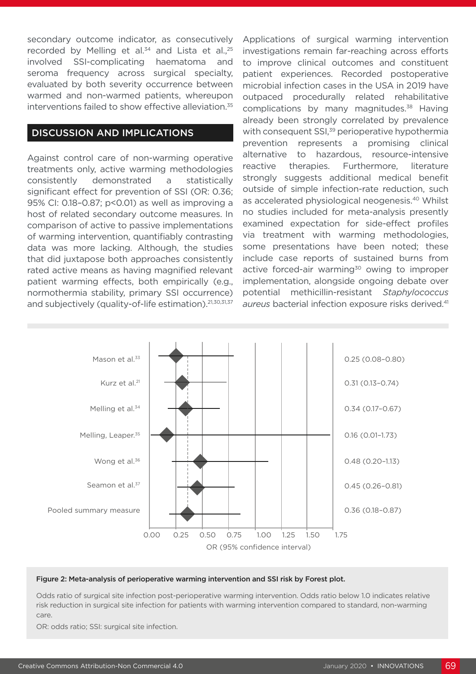secondary outcome indicator, as consecutively recorded by Melling et al. $34$  and Lista et al., $25$ involved SSI-complicating haematoma and seroma frequency across surgical specialty, evaluated by both severity occurrence between warmed and non-warmed patients, whereupon interventions failed to show effective alleviation.<sup>35</sup>

### DISCUSSION AND IMPLICATIONS

Against control care of non-warming operative treatments only, active warming methodologies consistently demonstrated a statistically significant effect for prevention of SSI (OR: 0.36; 95% CI: 0.18–0.87; p<0.01) as well as improving a host of related secondary outcome measures. In comparison of active to passive implementations of warming intervention, quantifiably contrasting data was more lacking. Although, the studies that did juxtapose both approaches consistently rated active means as having magnified relevant patient warming effects, both empirically (e.g., normothermia stability, primary SSI occurrence) and subjectively (quality-of-life estimation).<sup>21,30,31,37</sup>

Applications of surgical warming intervention investigations remain far-reaching across efforts to improve clinical outcomes and constituent patient experiences. Recorded postoperative microbial infection cases in the USA in 2019 have outpaced procedurally related rehabilitative complications by many magnitudes.<sup>38</sup> Having already been strongly correlated by prevalence with consequent SSI,<sup>39</sup> perioperative hypothermia prevention represents a promising clinical alternative to hazardous, resource-intensive reactive therapies. Furthermore, literature strongly suggests additional medical benefit outside of simple infection-rate reduction, such as accelerated physiological neogenesis.40 Whilst no studies included for meta-analysis presently examined expectation for side-effect profiles via treatment with warming methodologies, some presentations have been noted; these include case reports of sustained burns from active forced-air warming<sup>30</sup> owing to improper implementation, alongside ongoing debate over potential methicillin-resistant *Staphylococcus*  aureus bacterial infection exposure risks derived.<sup>41</sup>



#### Figure 2: Meta-analysis of perioperative warming intervention and SSI risk by Forest plot.

Odds ratio of surgical site infection post-perioperative warming intervention. Odds ratio below 1.0 indicates relative risk reduction in surgical site infection for patients with warming intervention compared to standard, non-warming care.

OR: odds ratio; SSI: surgical site infection.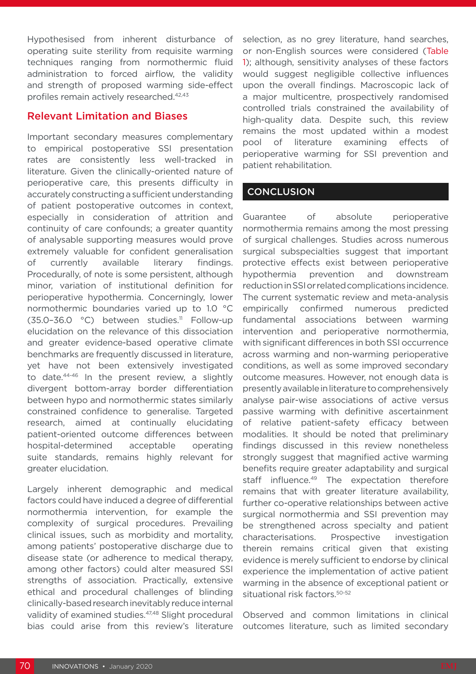Hypothesised from inherent disturbance of operating suite sterility from requisite warming techniques ranging from normothermic fluid administration to forced airflow, the validity and strength of proposed warming side-effect profiles remain actively researched.42,43

### Relevant Limitation and Biases

Important secondary measures complementary to empirical postoperative SSI presentation rates are consistently less well-tracked in literature. Given the clinically-oriented nature of perioperative care, this presents difficulty in accurately constructing a sufficient understanding of patient postoperative outcomes in context, especially in consideration of attrition and continuity of care confounds; a greater quantity of analysable supporting measures would prove extremely valuable for confident generalisation of currently available literary findings. Procedurally, of note is some persistent, although minor, variation of institutional definition for perioperative hypothermia. Concerningly, lower normothermic boundaries varied up to 1.0 °C (35.0–36.0 °C) between studies.<sup>11</sup> Follow-up elucidation on the relevance of this dissociation and greater evidence-based operative climate benchmarks are frequently discussed in literature, yet have not been extensively investigated to date.44-46 In the present review, a slightly divergent bottom-array border differentiation between hypo and normothermic states similarly constrained confidence to generalise. Targeted research, aimed at continually elucidating patient-oriented outcome differences between hospital-determined acceptable operating suite standards, remains highly relevant for greater elucidation.

Largely inherent demographic and medical factors could have induced a degree of differential normothermia intervention, for example the complexity of surgical procedures. Prevailing clinical issues, such as morbidity and mortality, among patients' postoperative discharge due to disease state (or adherence to medical therapy, among other factors) could alter measured SSI strengths of association. Practically, extensive ethical and procedural challenges of blinding clinically-based research inevitably reduce internal validity of examined studies.<sup>47,48</sup> Slight procedural bias could arise from this review's literature

selection, as no grey literature, hand searches, or non-English sources were considered (Table 1); although, sensitivity analyses of these factors would suggest negligible collective influences upon the overall findings. Macroscopic lack of a major multicentre, prospectively randomised controlled trials constrained the availability of high-quality data. Despite such, this review remains the most updated within a modest pool of literature examining effects of perioperative warming for SSI prevention and patient rehabilitation.

### **CONCLUSION**

Guarantee of absolute perioperative normothermia remains among the most pressing of surgical challenges. Studies across numerous surgical subspecialties suggest that important protective effects exist between perioperative hypothermia prevention and downstream reduction in SSI or related complications incidence. The current systematic review and meta-analysis empirically confirmed numerous predicted fundamental associations between warming intervention and perioperative normothermia, with significant differences in both SSI occurrence across warming and non-warming perioperative conditions, as well as some improved secondary outcome measures. However, not enough data is presently available in literature to comprehensively analyse pair-wise associations of active versus passive warming with definitive ascertainment of relative patient-safety efficacy between modalities. It should be noted that preliminary findings discussed in this review nonetheless strongly suggest that magnified active warming benefits require greater adaptability and surgical staff influence.<sup>49</sup> The expectation therefore remains that with greater literature availability, further co-operative relationships between active surgical normothermia and SSI prevention may be strengthened across specialty and patient characterisations. Prospective investigation therein remains critical given that existing evidence is merely sufficient to endorse by clinical experience the implementation of active patient warming in the absence of exceptional patient or situational risk factors.50-52

Observed and common limitations in clinical outcomes literature, such as limited secondary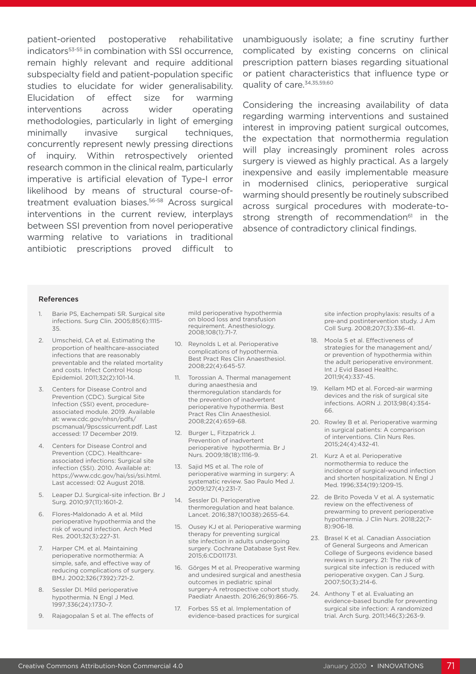patient-oriented postoperative rehabilitative indicators<sup>53-55</sup> in combination with SSI occurrence. remain highly relevant and require additional subspecialty field and patient-population specific studies to elucidate for wider generalisability. Elucidation of effect size for warming interventions across wider operating methodologies, particularly in light of emerging minimally invasive surgical techniques, concurrently represent newly pressing directions of inquiry. Within retrospectively oriented research common in the clinical realm, particularly imperative is artificial elevation of Type-I error likelihood by means of structural course-oftreatment evaluation biases.<sup>56-58</sup> Across surgical interventions in the current review, interplays between SSI prevention from novel perioperative warming relative to variations in traditional antibiotic prescriptions proved difficult to

unambiguously isolate; a fine scrutiny further complicated by existing concerns on clinical prescription pattern biases regarding situational or patient characteristics that influence type or quality of care.<sup>34,35,59,60</sup>

Considering the increasing availability of data regarding warming interventions and sustained interest in improving patient surgical outcomes, the expectation that normothermia regulation will play increasingly prominent roles across surgery is viewed as highly practical. As a largely inexpensive and easily implementable measure in modernised clinics, perioperative surgical warming should presently be routinely subscribed across surgical procedures with moderate-tostrong strength of recommendation<sup>61</sup> in the absence of contradictory clinical findings.

#### References

- 1. Barie PS, Eachempati SR. Surgical site infections. Surg Clin. 2005;85(6):1115- 35.
- 2. Umscheid, CA et al. Estimating the proportion of healthcare-associated infections that are reasonably preventable and the related mortality and costs. Infect Control Hosp Epidemiol. 2011;32(2):101-14.
- 3. Centers for Disease Control and Prevention (CDC). Surgical Site Infection (SSI) event, procedureassociated module. 2019. Available at: www.cdc.gov/nhsn/pdfs/ pscmanual/9pscssicurrent.pdf. Last accessed: 17 December 2019.
- 4. Centers for Disease Control and Prevention (CDC). Healthcareassociated infections: Surgical site infection (SSI). 2010. Available at: https://www.cdc.gov/hai/ssi/ssi.html. Last accessed: 02 August 2018.
- 5. Leaper DJ. Surgical-site infection. Br J Surg. 2010;97(11):1601-2.
- 6. Flores-Maldonado A et al. Mild perioperative hypothermia and the risk of wound infection. Arch Med Res. 2001;32(3):227-31.
- 7. Harper CM. et al. Maintaining perioperative normothermia: A simple, safe, and effective way of reducing complications of surgery. BMJ. 2002;326(7392):721-2.
- 8. Sessler DI. Mild perioperative hypothermia. N Engl J Med. 1997;336(24):1730-7.
- 9. Rajagopalan S et al. The effects of

mild perioperative hypothermia on blood loss and transfusion requirement. Anesthesiology. 2008;108(1):71-7.

- 10. Reynolds L et al. Perioperative complications of hypothermia. Best Pract Res Clin Anaesthesiol. 2008;22(4):645-57.
- 11. Torossian A. Thermal management during anaesthesia and thermoregulation standards for the prevention of inadvertent perioperative hypothermia. Best Pract Res Clin Anaesthesiol. 2008;22(4):659-68.
- 12. Burger L, Fitzpatrick J. Prevention of inadvertent perioperative hypothermia. Br J Nurs. 2009;18(18):1116-9.
- 13. Sajid MS et al. The role of perioperative warming in surgery: A systematic review. Sao Paulo Med J. 2009;127(4):231-7.
- 14. Sessler DI. Perioperative thermoregulation and heat balance. Lancet. 2016;387(10038):2655-64.
- 15. Ousey KJ et al. Perioperative warming therapy for preventing surgical site infection in adults undergoing surgery. Cochrane Database Syst Rev. 2015;6:CD011731.
- 16. Görges M et al. Preoperative warming and undesired surgical and anesthesia outcomes in pediatric spinal surgery-A retrospective cohort study. Paediatr Anaesth. 2016;26(9):866-75.
- 17. Forbes SS et al. Implementation of evidence-based practices for surgical

site infection prophylaxis: results of a pre-and postintervention study. J Am Coll Surg. 2008;207(3):336-41.

- 18. Moola S et al. Effectiveness of strategies for the management and/ or prevention of hypothermia within the adult perioperative environment. Int J Evid Based Healthc. 2011;9(4):337-45.
- 19. Kellam MD et al. Forced-air warming devices and the risk of surgical site infections. AORN J. 2013;98(4):354- 66.
- 20. Rowley B et al. Perioperative warming in surgical patients: A comparison of interventions. Clin Nurs Res. 2015;24(4):432-41.
- 21. Kurz A et al. Perioperative normothermia to reduce the incidence of surgical-wound infection and shorten hospitalization. N Engl J Med. 1996;334(19):1209-15.
- 22. de Brito Poveda V et al. A systematic review on the effectiveness of prewarming to prevent perioperative hypothermia. J Clin Nurs. 2018;22(7- 8):906-18.
- 23. Brasel K et al. Canadian Association of General Surgeons and American College of Surgeons evidence based reviews in surgery. 21: The risk of surgical site infection is reduced with perioperative oxygen. Can J Surg. 2007;50(3):214-6.
- 24. Anthony T et al. Evaluating an evidence-based bundle for preventing surgical site infection: A randomized trial. Arch Surg. 2011;146(3):263-9.